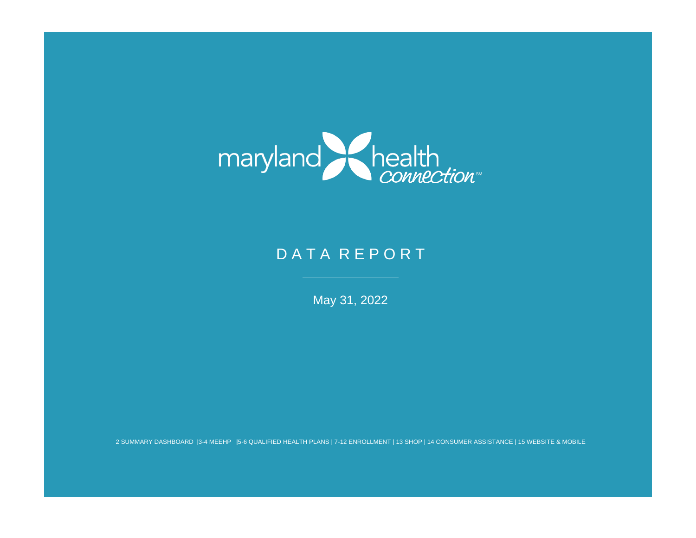

# D A T A R E P O R T

May 31, 2022

2 SUMMARY DASHBOARD |3-4 MEEHP |5-6 QUALIFIED HEALTH PLANS | 7-12 ENROLLMENT | 13 SHOP | 14 CONSUMER ASSISTANCE | 15 WEBSITE & MOBILE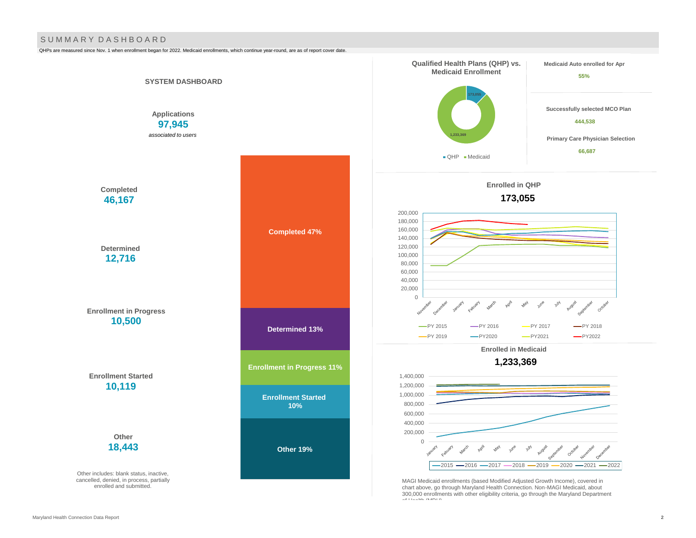#### S U M M A R Y D A S H B O A R D

QHPs are measured since Nov. 1 when enrollment began for 2022. Medicaid enrollments, which continue year-round, are as of report cover date.

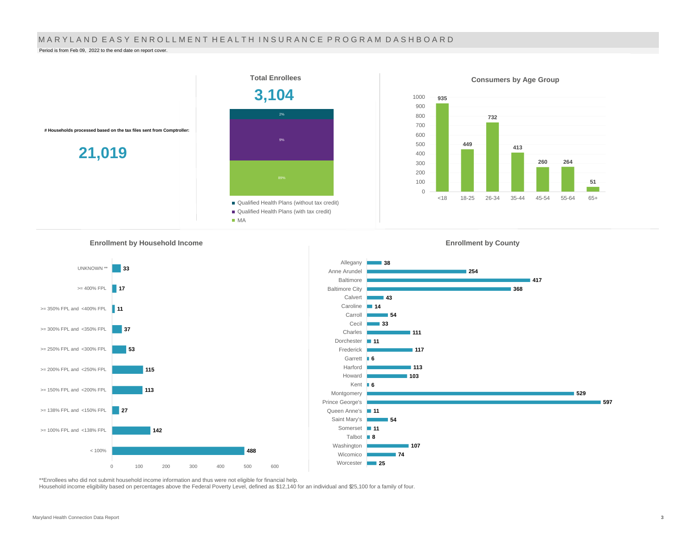#### MARYLAND EASY ENROLLMENT HEALTH INSURANCE PROGRAM DASHBOARD

Period is from Feb 09, 2022 to the end date on report cover.



**Enrollment by Household Income** 







\*\*Enrollees who did not submit household income information and thus were not eligible for financial help.

Household income eligibility based on percentages above the Federal Poverty Level, defined as \$12,140 for an individual and \$25,100 for a family of four.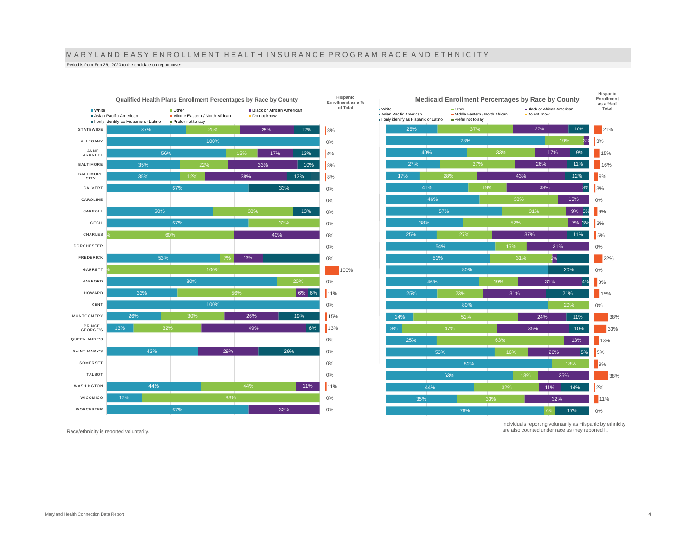# M A R Y L A N D E A S Y E N R O L L M E N T H E A L T H I N S U R A N C E P R O G R A M R A C E A N D E T H N I C I T Y

Period is from Feb 26, 2020 to the end date on report cover.



Race/ethnicity is reported voluntarily.



Individuals reporting voluntarily as Hispanic by ethnicity are also counted under race as they reported it.

**Hispanic**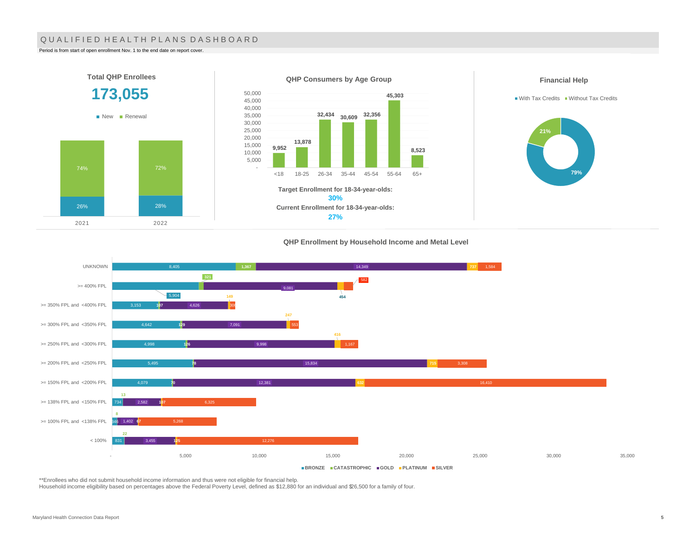### QUALIFIED HEALTH PLANS DASHBOARD

Period is from start of open enrollment Nov. 1 to the end date on report cover.

2021 2022



#### **QHP Enrollment by Household Income and Metal Level**



\*\*Enrollees who did not submit household income information and thus were not eligible for financial help.

Household income eligibility based on percentages above the Federal Poverty Level, defined as \$12,880 for an individual and \$26,500 for a family of four.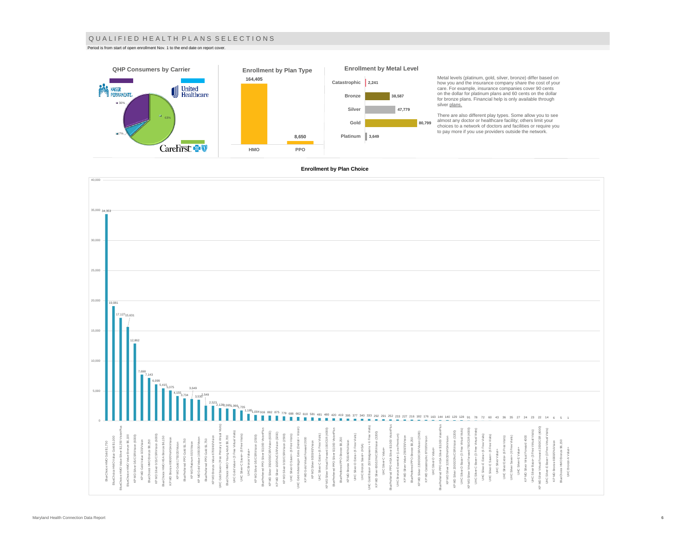#### Q U A L I F I E D H E A L T H P L A N S S E L E C T I O N S

Period is from start of open enrollment Nov. 1 to the end date on report cover.



how you and the insurance company share the cost of your care. For example, insurance companies cover 90 cents

There are also different play types. Some allow you to see<br>almost any doctor or healthcare facility; others limit your<br>choices to a network of doctors and facilities or require you<br>to pay more if you use providers outside

#### **Enrollment by Plan Choice**

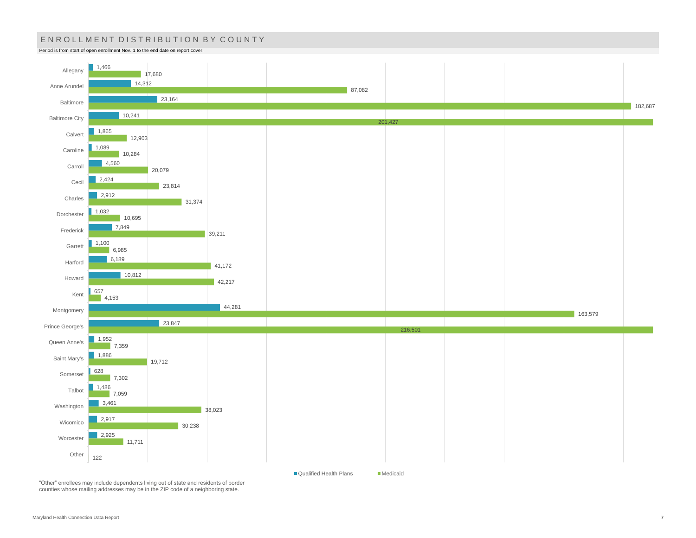## ENROLLMENT DISTRIBUTION BY COUNTY

Period is from start of open enrollment Nov. 1 to the end date on report cover.



"Other" enrollees may include dependents living out of state and residents of border counties whose mailing addresses may be in the ZIP code of a neighboring state.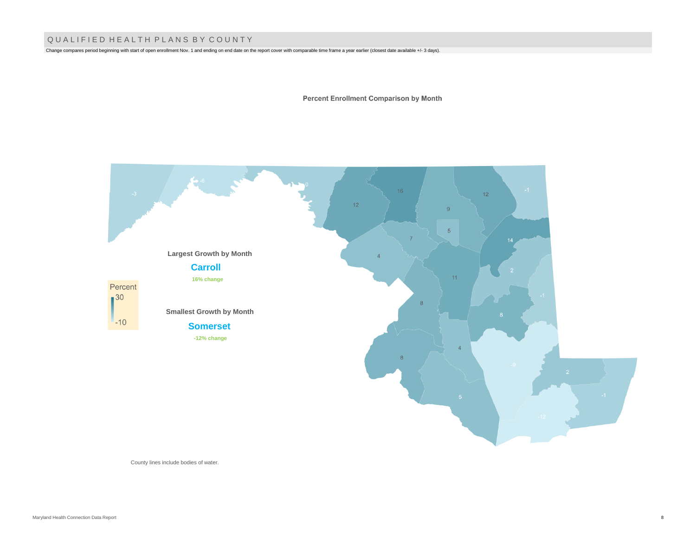## Q U A L I F I E D H E A L T H P L A N S B Y C O U N T Y

Change compares period beginning with start of open enrollment Nov. 1 and ending on end date on the report cover with comparable time frame a year earlier (closest date available +/- 3 days).

**Percent Enrollment Comparison by Month** 



County lines include bodies of water.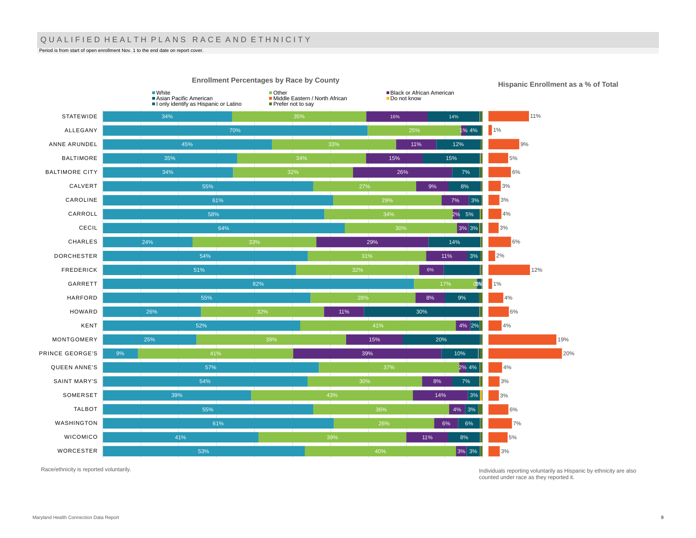## QUALIFIED HEALTH PLANS RACE AND ETHNICITY

Period is from start of open enrollment Nov. 1 to the end date on report cover.



**Hispanic Enrollment as a % of Total**

Race/ethnicity is reported voluntarily.

Individuals reporting voluntarily as Hispanic by ethnicity are also counted under race as they reported it.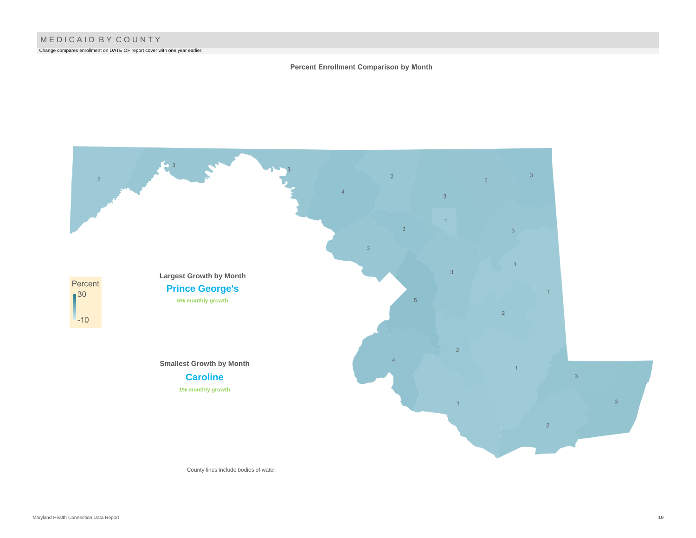Change compares enrollment on DATE OF report cover with one year earlier.

### Percent Enrollment Comparison by Month



County lines include bodies of water.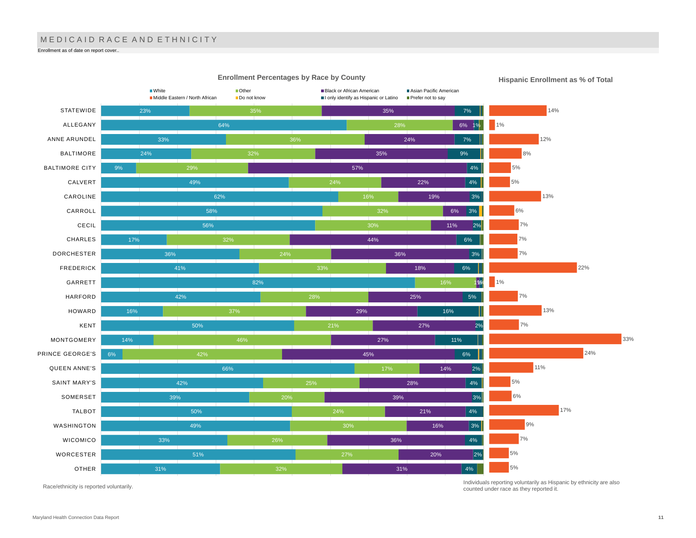# MEDICAID RACE AND ETHNICITY

Enrollment as of date on report cover..



**Enrollment Percentages by Race by County**

Race/ethnicity is reported voluntarily.

Individuals reporting voluntarily as Hispanic by ethnicity are also counted under race as they reported it.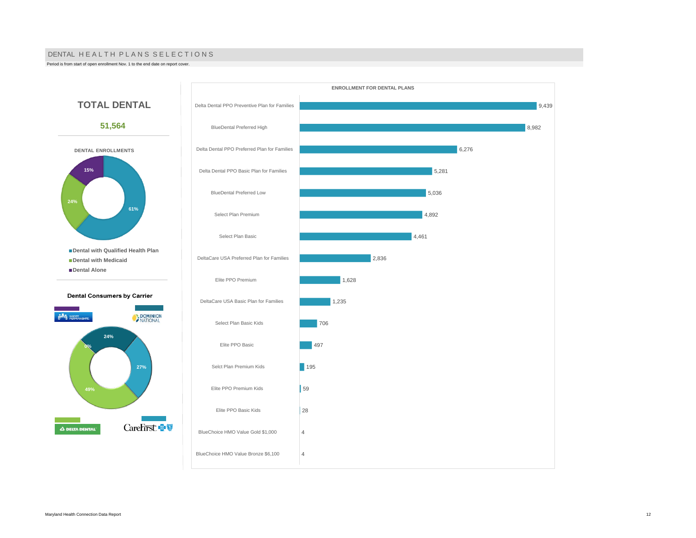#### DENTAL HE A L TH PLANS SELECTIONS

Period is from start of open enrollment Nov. 1 to the end date on report cover.



**49%**

**0%**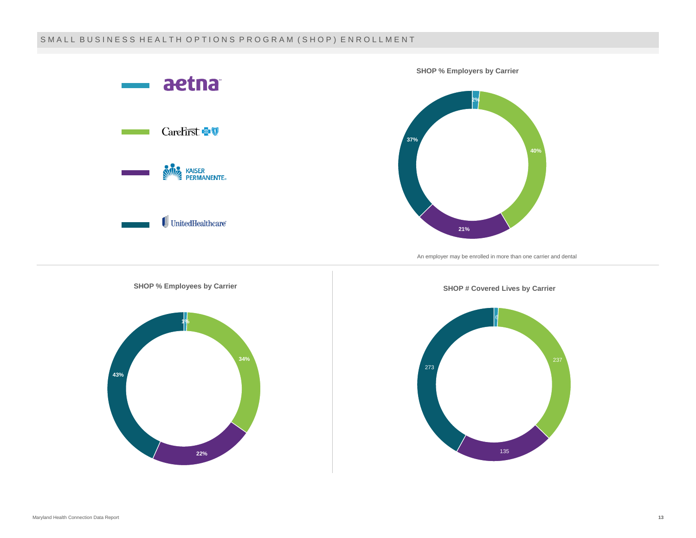## SMALL BUSINESS HEALTH OPTIONS PROGRAM (SHOP) ENROLLMENT

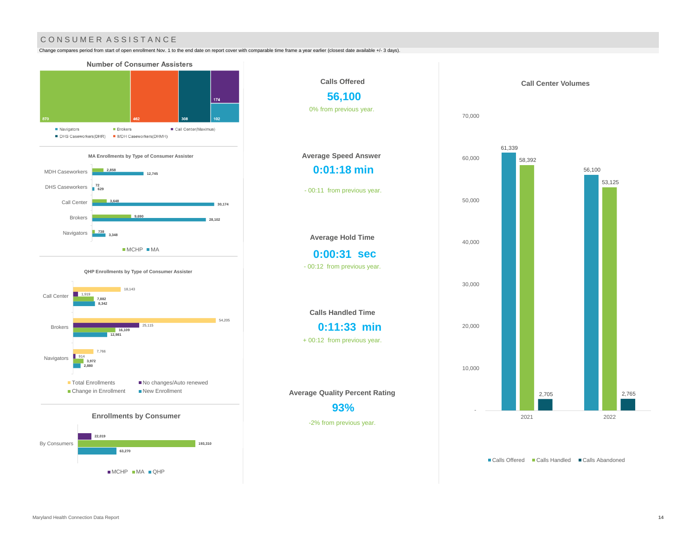## CONSUMER ASSISTANCE

Change compares period from start of open enrollment Nov. 1 to the end date on report cover with comparable time frame a year earlier (closest date available +/- 3 days).



MCHP MA QHP